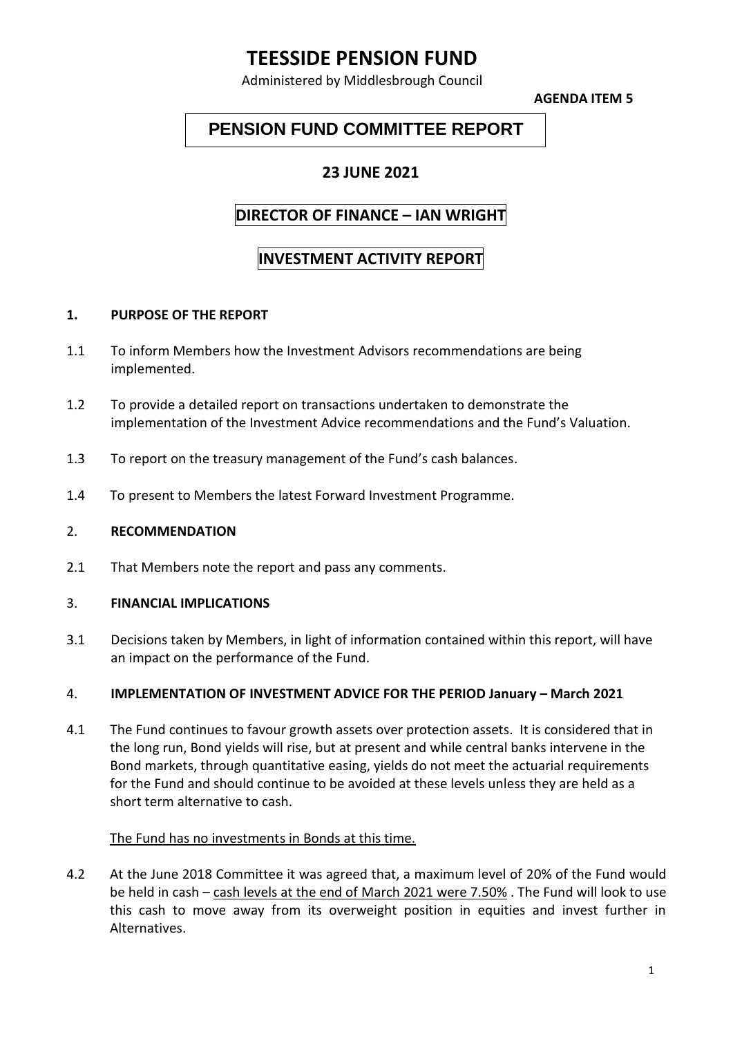# **TEESSIDE PENSION FUND**

Administered by Middlesbrough Council

**AGENDA ITEM 5**

## **PENSION FUND COMMITTEE REPORT**

### **23 JUNE 2021**

### **DIRECTOR OF FINANCE – IAN WRIGHT**

## **INVESTMENT ACTIVITY REPORT**

#### **1. PURPOSE OF THE REPORT**

- 1.1 To inform Members how the Investment Advisors recommendations are being implemented.
- 1.2 To provide a detailed report on transactions undertaken to demonstrate the implementation of the Investment Advice recommendations and the Fund's Valuation.
- 1.3 To report on the treasury management of the Fund's cash balances.
- 1.4 To present to Members the latest Forward Investment Programme.

#### 2. **RECOMMENDATION**

2.1 That Members note the report and pass any comments.

#### 3. **FINANCIAL IMPLICATIONS**

3.1 Decisions taken by Members, in light of information contained within this report, will have an impact on the performance of the Fund.

#### 4. **IMPLEMENTATION OF INVESTMENT ADVICE FOR THE PERIOD January – March 2021**

4.1 The Fund continues to favour growth assets over protection assets. It is considered that in the long run, Bond yields will rise, but at present and while central banks intervene in the Bond markets, through quantitative easing, yields do not meet the actuarial requirements for the Fund and should continue to be avoided at these levels unless they are held as a short term alternative to cash.

#### The Fund has no investments in Bonds at this time.

4.2 At the June 2018 Committee it was agreed that, a maximum level of 20% of the Fund would be held in cash – cash levels at the end of March 2021 were 7.50% . The Fund will look to use this cash to move away from its overweight position in equities and invest further in Alternatives.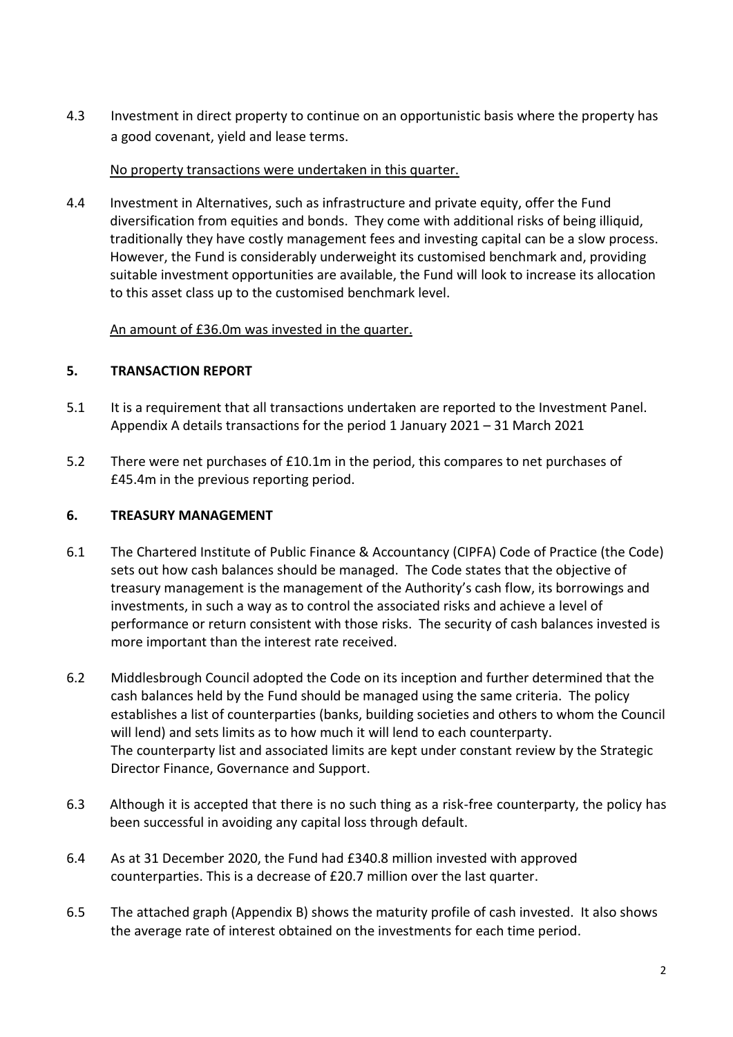4.3 Investment in direct property to continue on an opportunistic basis where the property has a good covenant, yield and lease terms.

#### No property transactions were undertaken in this quarter.

4.4 Investment in Alternatives, such as infrastructure and private equity, offer the Fund diversification from equities and bonds. They come with additional risks of being illiquid, traditionally they have costly management fees and investing capital can be a slow process. However, the Fund is considerably underweight its customised benchmark and, providing suitable investment opportunities are available, the Fund will look to increase its allocation to this asset class up to the customised benchmark level.

#### An amount of £36.0m was invested in the quarter.

#### **5. TRANSACTION REPORT**

- 5.1 It is a requirement that all transactions undertaken are reported to the Investment Panel. Appendix A details transactions for the period 1 January 2021 – 31 March 2021
- 5.2 There were net purchases of £10.1m in the period, this compares to net purchases of £45.4m in the previous reporting period.

#### **6. TREASURY MANAGEMENT**

- 6.1 The Chartered Institute of Public Finance & Accountancy (CIPFA) Code of Practice (the Code) sets out how cash balances should be managed. The Code states that the objective of treasury management is the management of the Authority's cash flow, its borrowings and investments, in such a way as to control the associated risks and achieve a level of performance or return consistent with those risks. The security of cash balances invested is more important than the interest rate received.
- 6.2 Middlesbrough Council adopted the Code on its inception and further determined that the cash balances held by the Fund should be managed using the same criteria. The policy establishes a list of counterparties (banks, building societies and others to whom the Council will lend) and sets limits as to how much it will lend to each counterparty. The counterparty list and associated limits are kept under constant review by the Strategic Director Finance, Governance and Support.
- 6.3 Although it is accepted that there is no such thing as a risk-free counterparty, the policy has been successful in avoiding any capital loss through default.
- 6.4 As at 31 December 2020, the Fund had £340.8 million invested with approved counterparties. This is a decrease of £20.7 million over the last quarter.
- 6.5 The attached graph (Appendix B) shows the maturity profile of cash invested. It also shows the average rate of interest obtained on the investments for each time period.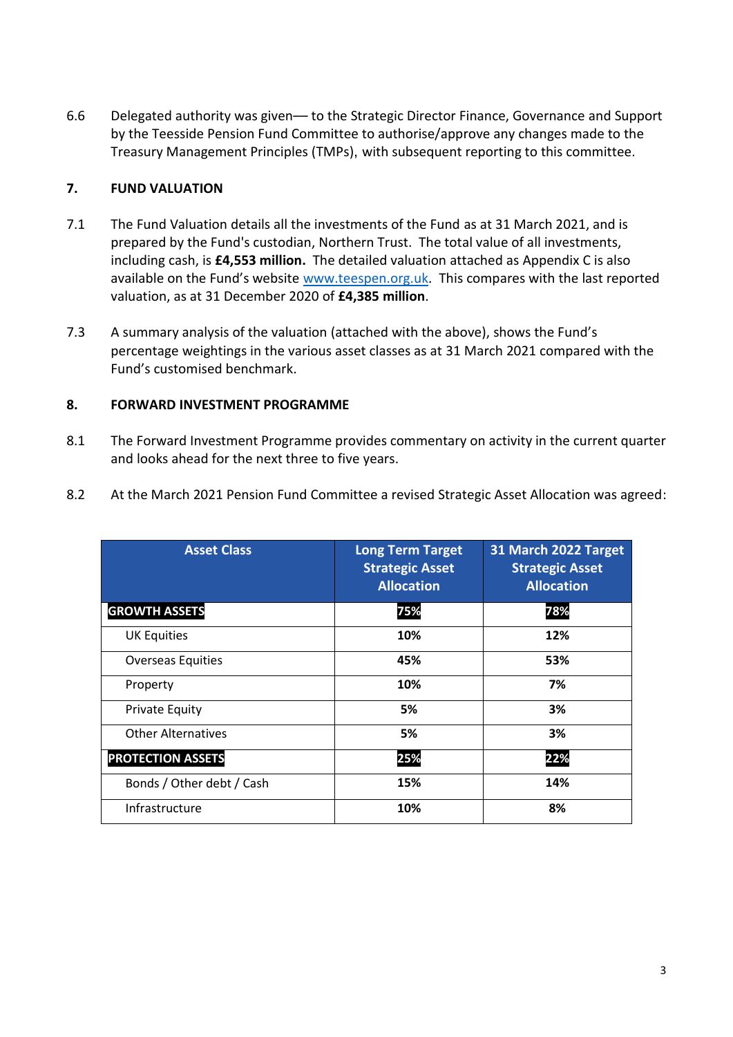6.6 Delegated authority was given–– to the Strategic Director Finance, Governance and Support by the Teesside Pension Fund Committee to authorise/approve any changes made to the Treasury Management Principles (TMPs), with subsequent reporting to this committee.

#### **7. FUND VALUATION**

- 7.1 The Fund Valuation details all the investments of the Fund as at 31 March 2021, and is prepared by the Fund's custodian, Northern Trust. The total value of all investments, including cash, is **£4,553 million.** The detailed valuation attached as Appendix C is also available on the Fund's website [www.teespen.org.uk.](http://www.teespen.org.uk/) This compares with the last reported valuation, as at 31 December 2020 of **£4,385 million**.
- 7.3 A summary analysis of the valuation (attached with the above), shows the Fund's percentage weightings in the various asset classes as at 31 March 2021 compared with the Fund's customised benchmark.

#### **8. FORWARD INVESTMENT PROGRAMME**

- 8.1 The Forward Investment Programme provides commentary on activity in the current quarter and looks ahead for the next three to five years.
- 8.2 At the March 2021 Pension Fund Committee a revised Strategic Asset Allocation was agreed:

| <b>Asset Class</b>        | <b>Long Term Target</b><br><b>Strategic Asset</b><br><b>Allocation</b> | 31 March 2022 Target<br><b>Strategic Asset</b><br><b>Allocation</b> |
|---------------------------|------------------------------------------------------------------------|---------------------------------------------------------------------|
| <b>GROWTH ASSETS</b>      | 75%                                                                    | 78%                                                                 |
| <b>UK Equities</b>        | 10%                                                                    | 12%                                                                 |
| <b>Overseas Equities</b>  | 45%                                                                    | 53%                                                                 |
| Property                  | 10%                                                                    | 7%                                                                  |
| <b>Private Equity</b>     | 5%                                                                     | 3%                                                                  |
| <b>Other Alternatives</b> | 5%                                                                     | 3%                                                                  |
| <b>PROTECTION ASSETS</b>  | 25%                                                                    | 22%                                                                 |
| Bonds / Other debt / Cash | 15%                                                                    | 14%                                                                 |
| Infrastructure            | 10%                                                                    | 8%                                                                  |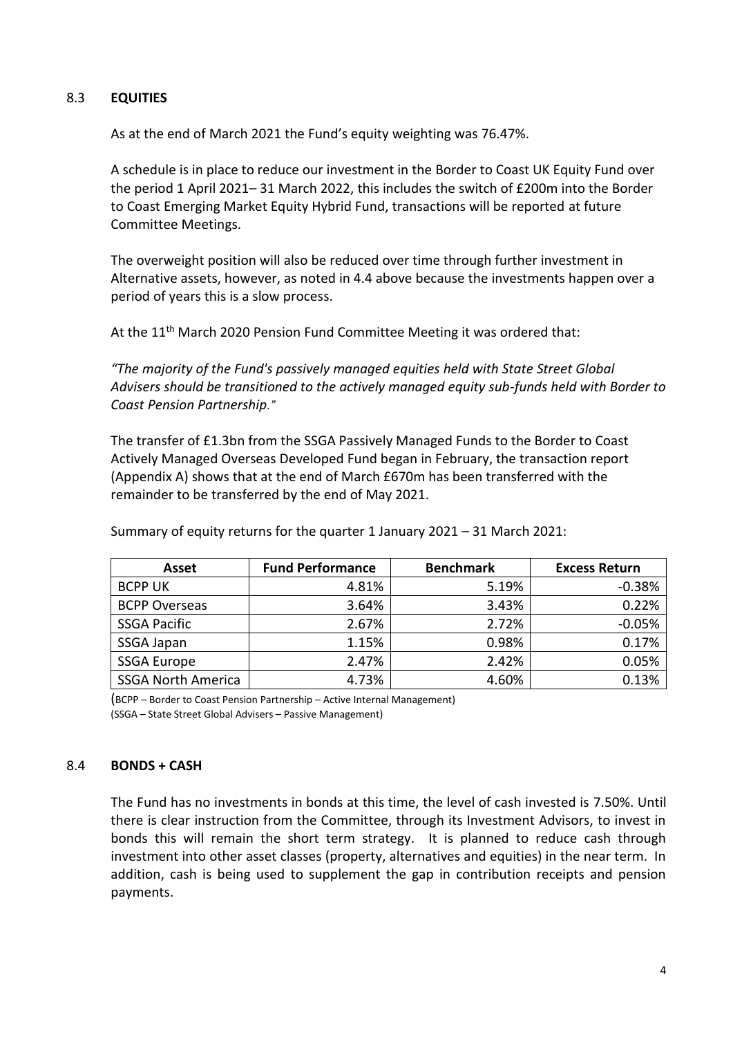#### 8.3 **EQUITIES**

As at the end of March 2021 the Fund's equity weighting was 76.47%.

A schedule is in place to reduce our investment in the Border to Coast UK Equity Fund over the period 1 April 2021– 31 March 2022, this includes the switch of £200m into the Border to Coast Emerging Market Equity Hybrid Fund, transactions will be reported at future Committee Meetings.

The overweight position will also be reduced over time through further investment in Alternative assets, however, as noted in 4.4 above because the investments happen over a period of years this is a slow process.

At the 11<sup>th</sup> March 2020 Pension Fund Committee Meeting it was ordered that:

*"The majority of the Fund's passively managed equities held with State Street Global Advisers should be transitioned to the actively managed equity sub-funds held with Border to Coast Pension Partnership."*

The transfer of £1.3bn from the SSGA Passively Managed Funds to the Border to Coast Actively Managed Overseas Developed Fund began in February, the transaction report (Appendix A) shows that at the end of March £670m has been transferred with the remainder to be transferred by the end of May 2021.

| Asset                     | <b>Fund Performance</b> | <b>Benchmark</b> | <b>Excess Return</b> |
|---------------------------|-------------------------|------------------|----------------------|
| <b>BCPP UK</b>            | 4.81%                   | 5.19%            | $-0.38%$             |
| <b>BCPP Overseas</b>      | 3.64%                   | 3.43%            | 0.22%                |
| <b>SSGA Pacific</b>       | 2.67%                   | 2.72%            | $-0.05%$             |
| SSGA Japan                | 1.15%                   | 0.98%            | 0.17%                |
| <b>SSGA Europe</b>        | 2.47%                   | 2.42%            | 0.05%                |
| <b>SSGA North America</b> | 4.73%                   | 4.60%            | 0.13%                |

Summary of equity returns for the quarter 1 January 2021 – 31 March 2021:

(BCPP – Border to Coast Pension Partnership – Active Internal Management) (SSGA – State Street Global Advisers – Passive Management)

#### 8.4 **BONDS + CASH**

The Fund has no investments in bonds at this time, the level of cash invested is 7.50%. Until there is clear instruction from the Committee, through its Investment Advisors, to invest in bonds this will remain the short term strategy. It is planned to reduce cash through investment into other asset classes (property, alternatives and equities) in the near term. In addition, cash is being used to supplement the gap in contribution receipts and pension payments.